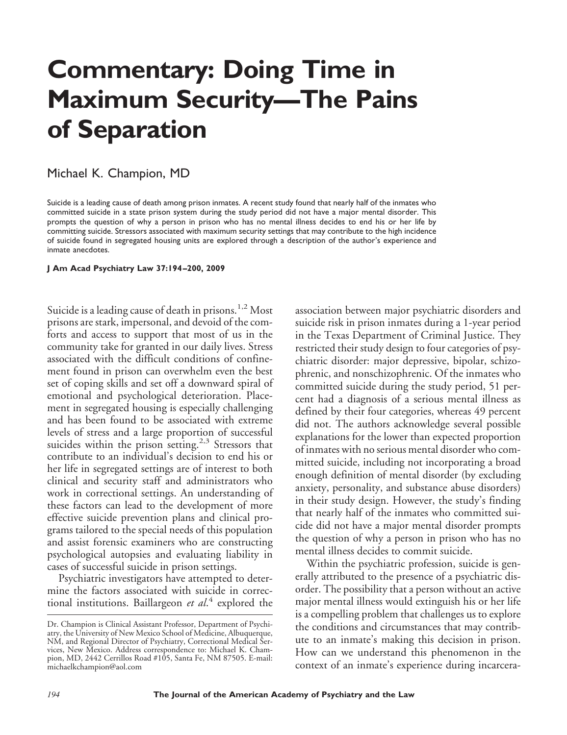# **Commentary: Doing Time in Maximum Security—The Pains of Separation**

## Michael K. Champion, MD

Suicide is a leading cause of death among prison inmates. A recent study found that nearly half of the inmates who committed suicide in a state prison system during the study period did not have a major mental disorder. This prompts the question of why a person in prison who has no mental illness decides to end his or her life by committing suicide. Stressors associated with maximum security settings that may contribute to the high incidence of suicide found in segregated housing units are explored through a description of the author's experience and inmate anecdotes.

#### **J Am Acad Psychiatry Law 37:194 –200, 2009**

Suicide is a leading cause of death in prisons.<sup>1,2</sup> Most prisons are stark, impersonal, and devoid of the comforts and access to support that most of us in the community take for granted in our daily lives. Stress associated with the difficult conditions of confinement found in prison can overwhelm even the best set of coping skills and set off a downward spiral of emotional and psychological deterioration. Placement in segregated housing is especially challenging and has been found to be associated with extreme levels of stress and a large proportion of successful suicides within the prison setting.<sup>2,3</sup> Stressors that contribute to an individual's decision to end his or her life in segregated settings are of interest to both clinical and security staff and administrators who work in correctional settings. An understanding of these factors can lead to the development of more effective suicide prevention plans and clinical programs tailored to the special needs of this population and assist forensic examiners who are constructing psychological autopsies and evaluating liability in cases of successful suicide in prison settings.

Psychiatric investigators have attempted to determine the factors associated with suicide in correctional institutions. Baillargeon *et al*. <sup>4</sup> explored the

association between major psychiatric disorders and suicide risk in prison inmates during a 1-year period in the Texas Department of Criminal Justice. They restricted their study design to four categories of psychiatric disorder: major depressive, bipolar, schizophrenic, and nonschizophrenic. Of the inmates who committed suicide during the study period, 51 percent had a diagnosis of a serious mental illness as defined by their four categories, whereas 49 percent did not. The authors acknowledge several possible explanations for the lower than expected proportion of inmates with no serious mental disorder who committed suicide, including not incorporating a broad enough definition of mental disorder (by excluding anxiety, personality, and substance abuse disorders) in their study design. However, the study's finding that nearly half of the inmates who committed suicide did not have a major mental disorder prompts the question of why a person in prison who has no mental illness decides to commit suicide.

Within the psychiatric profession, suicide is generally attributed to the presence of a psychiatric disorder. The possibility that a person without an active major mental illness would extinguish his or her life is a compelling problem that challenges us to explore the conditions and circumstances that may contribute to an inmate's making this decision in prison. How can we understand this phenomenon in the context of an inmate's experience during incarcera-

Dr. Champion is Clinical Assistant Professor, Department of Psychiatry, the University of New Mexico School of Medicine, Albuquerque, NM, and Regional Director of Psychiatry, Correctional Medical Services, New Mexico. Address correspondence to: Michael K. Champion, MD, 2442 Cerrillos Road #105, Santa Fe, NM 87505. E-mail: michaelkchampion@aol.com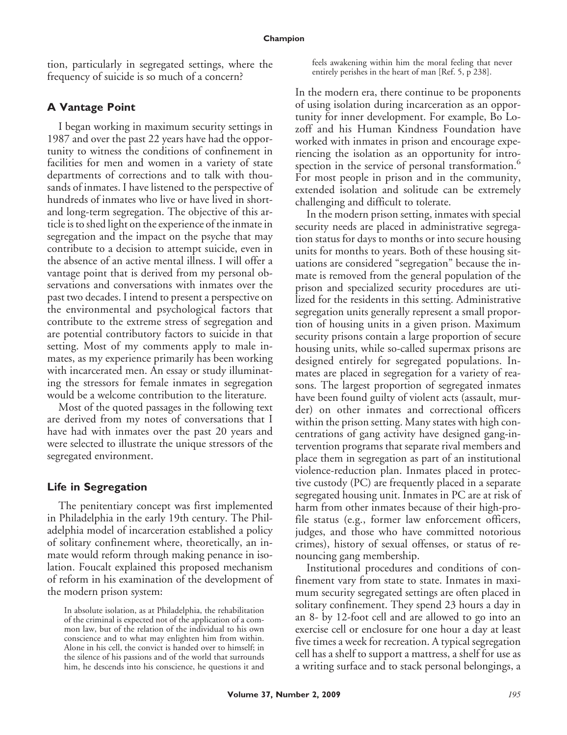tion, particularly in segregated settings, where the frequency of suicide is so much of a concern?

## **A Vantage Point**

I began working in maximum security settings in 1987 and over the past 22 years have had the opportunity to witness the conditions of confinement in facilities for men and women in a variety of state departments of corrections and to talk with thousands of inmates. I have listened to the perspective of hundreds of inmates who live or have lived in shortand long-term segregation. The objective of this article is to shed light on the experience of the inmate in segregation and the impact on the psyche that may contribute to a decision to attempt suicide, even in the absence of an active mental illness. I will offer a vantage point that is derived from my personal observations and conversations with inmates over the past two decades. I intend to present a perspective on the environmental and psychological factors that contribute to the extreme stress of segregation and are potential contributory factors to suicide in that setting. Most of my comments apply to male inmates, as my experience primarily has been working with incarcerated men. An essay or study illuminating the stressors for female inmates in segregation would be a welcome contribution to the literature.

Most of the quoted passages in the following text are derived from my notes of conversations that I have had with inmates over the past 20 years and were selected to illustrate the unique stressors of the segregated environment.

### **Life in Segregation**

The penitentiary concept was first implemented in Philadelphia in the early 19th century. The Philadelphia model of incarceration established a policy of solitary confinement where, theoretically, an inmate would reform through making penance in isolation. Foucalt explained this proposed mechanism of reform in his examination of the development of the modern prison system:

feels awakening within him the moral feeling that never entirely perishes in the heart of man [Ref. 5, p 238].

In the modern era, there continue to be proponents of using isolation during incarceration as an opportunity for inner development. For example, Bo Lozoff and his Human Kindness Foundation have worked with inmates in prison and encourage experiencing the isolation as an opportunity for introspection in the service of personal transformation.<sup>6</sup> For most people in prison and in the community, extended isolation and solitude can be extremely challenging and difficult to tolerate.

In the modern prison setting, inmates with special security needs are placed in administrative segregation status for days to months or into secure housing units for months to years. Both of these housing situations are considered "segregation" because the inmate is removed from the general population of the prison and specialized security procedures are utilized for the residents in this setting. Administrative segregation units generally represent a small proportion of housing units in a given prison. Maximum security prisons contain a large proportion of secure housing units, while so-called supermax prisons are designed entirely for segregated populations. Inmates are placed in segregation for a variety of reasons. The largest proportion of segregated inmates have been found guilty of violent acts (assault, murder) on other inmates and correctional officers within the prison setting. Many states with high concentrations of gang activity have designed gang-intervention programs that separate rival members and place them in segregation as part of an institutional violence-reduction plan. Inmates placed in protective custody (PC) are frequently placed in a separate segregated housing unit. Inmates in PC are at risk of harm from other inmates because of their high-profile status (e.g., former law enforcement officers, judges, and those who have committed notorious crimes), history of sexual offenses, or status of renouncing gang membership.

Institutional procedures and conditions of confinement vary from state to state. Inmates in maximum security segregated settings are often placed in solitary confinement. They spend 23 hours a day in an 8- by 12-foot cell and are allowed to go into an exercise cell or enclosure for one hour a day at least five times a week for recreation. A typical segregation cell has a shelf to support a mattress, a shelf for use as a writing surface and to stack personal belongings, a

In absolute isolation, as at Philadelphia, the rehabilitation of the criminal is expected not of the application of a common law, but of the relation of the individual to his own conscience and to what may enlighten him from within. Alone in his cell, the convict is handed over to himself; in the silence of his passions and of the world that surrounds him, he descends into his conscience, he questions it and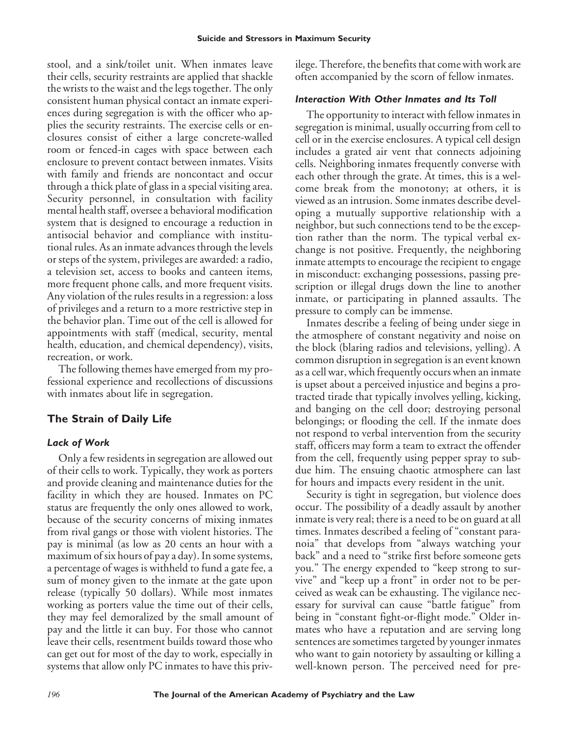stool, and a sink/toilet unit. When inmates leave their cells, security restraints are applied that shackle the wrists to the waist and the legs together. The only consistent human physical contact an inmate experiences during segregation is with the officer who applies the security restraints. The exercise cells or enclosures consist of either a large concrete-walled room or fenced-in cages with space between each enclosure to prevent contact between inmates. Visits with family and friends are noncontact and occur through a thick plate of glass in a special visiting area. Security personnel, in consultation with facility mental health staff, oversee a behavioral modification system that is designed to encourage a reduction in antisocial behavior and compliance with institutional rules. As an inmate advances through the levels or steps of the system, privileges are awarded: a radio, a television set, access to books and canteen items, more frequent phone calls, and more frequent visits. Any violation of the rules results in a regression: a loss of privileges and a return to a more restrictive step in the behavior plan. Time out of the cell is allowed for appointments with staff (medical, security, mental health, education, and chemical dependency), visits, recreation, or work.

The following themes have emerged from my professional experience and recollections of discussions with inmates about life in segregation.

# **The Strain of Daily Life**

## *Lack of Work*

Only a few residents in segregation are allowed out of their cells to work. Typically, they work as porters and provide cleaning and maintenance duties for the facility in which they are housed. Inmates on PC status are frequently the only ones allowed to work, because of the security concerns of mixing inmates from rival gangs or those with violent histories. The pay is minimal (as low as 20 cents an hour with a maximum of six hours of pay a day). In some systems, a percentage of wages is withheld to fund a gate fee, a sum of money given to the inmate at the gate upon release (typically 50 dollars). While most inmates working as porters value the time out of their cells, they may feel demoralized by the small amount of pay and the little it can buy. For those who cannot leave their cells, resentment builds toward those who can get out for most of the day to work, especially in systems that allow only PC inmates to have this privilege. Therefore, the benefits that come with work are often accompanied by the scorn of fellow inmates.

## *Interaction With Other Inmates and Its Toll*

The opportunity to interact with fellow inmates in segregation is minimal, usually occurring from cell to cell or in the exercise enclosures. A typical cell design includes a grated air vent that connects adjoining cells. Neighboring inmates frequently converse with each other through the grate. At times, this is a welcome break from the monotony; at others, it is viewed as an intrusion. Some inmates describe developing a mutually supportive relationship with a neighbor, but such connections tend to be the exception rather than the norm. The typical verbal exchange is not positive. Frequently, the neighboring inmate attempts to encourage the recipient to engage in misconduct: exchanging possessions, passing prescription or illegal drugs down the line to another inmate, or participating in planned assaults. The pressure to comply can be immense.

Inmates describe a feeling of being under siege in the atmosphere of constant negativity and noise on the block (blaring radios and televisions, yelling). A common disruption in segregation is an event known as a cell war, which frequently occurs when an inmate is upset about a perceived injustice and begins a protracted tirade that typically involves yelling, kicking, and banging on the cell door; destroying personal belongings; or flooding the cell. If the inmate does not respond to verbal intervention from the security staff, officers may form a team to extract the offender from the cell, frequently using pepper spray to subdue him. The ensuing chaotic atmosphere can last for hours and impacts every resident in the unit.

Security is tight in segregation, but violence does occur. The possibility of a deadly assault by another inmate is very real; there is a need to be on guard at all times. Inmates described a feeling of "constant paranoia" that develops from "always watching your back" and a need to "strike first before someone gets you." The energy expended to "keep strong to survive" and "keep up a front" in order not to be perceived as weak can be exhausting. The vigilance necessary for survival can cause "battle fatigue" from being in "constant fight-or-flight mode." Older inmates who have a reputation and are serving long sentences are sometimes targeted by younger inmates who want to gain notoriety by assaulting or killing a well-known person. The perceived need for pre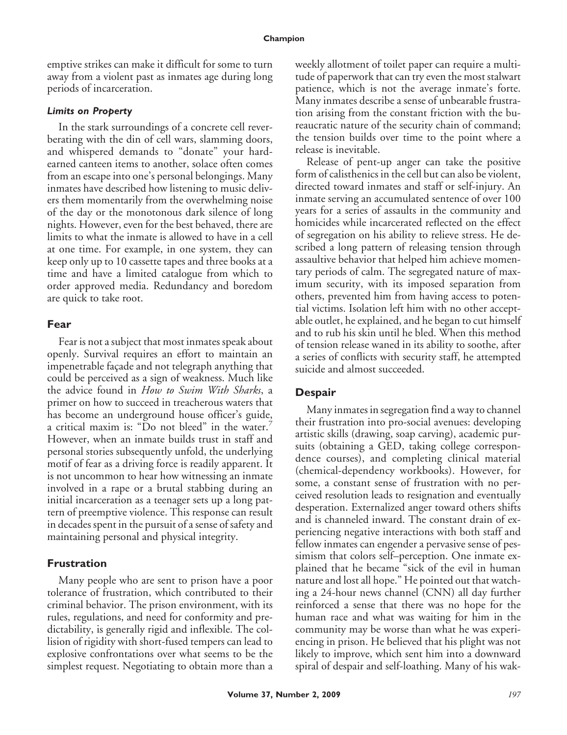emptive strikes can make it difficult for some to turn away from a violent past as inmates age during long periods of incarceration.

#### *Limits on Property*

In the stark surroundings of a concrete cell reverberating with the din of cell wars, slamming doors, and whispered demands to "donate" your hardearned canteen items to another, solace often comes from an escape into one's personal belongings. Many inmates have described how listening to music delivers them momentarily from the overwhelming noise of the day or the monotonous dark silence of long nights. However, even for the best behaved, there are limits to what the inmate is allowed to have in a cell at one time. For example, in one system, they can keep only up to 10 cassette tapes and three books at a time and have a limited catalogue from which to order approved media. Redundancy and boredom are quick to take root.

#### **Fear**

Fear is not a subject that most inmates speak about openly. Survival requires an effort to maintain an impenetrable façade and not telegraph anything that could be perceived as a sign of weakness. Much like the advice found in *How to Swim With Sharks*, a primer on how to succeed in treacherous waters that has become an underground house officer's guide, a critical maxim is: "Do not bleed" in the water.<sup>7</sup> However, when an inmate builds trust in staff and personal stories subsequently unfold, the underlying motif of fear as a driving force is readily apparent. It is not uncommon to hear how witnessing an inmate involved in a rape or a brutal stabbing during an initial incarceration as a teenager sets up a long pattern of preemptive violence. This response can result in decades spent in the pursuit of a sense of safety and maintaining personal and physical integrity.

#### **Frustration**

Many people who are sent to prison have a poor tolerance of frustration, which contributed to their criminal behavior. The prison environment, with its rules, regulations, and need for conformity and predictability, is generally rigid and inflexible. The collision of rigidity with short-fused tempers can lead to explosive confrontations over what seems to be the simplest request. Negotiating to obtain more than a weekly allotment of toilet paper can require a multitude of paperwork that can try even the most stalwart patience, which is not the average inmate's forte. Many inmates describe a sense of unbearable frustration arising from the constant friction with the bureaucratic nature of the security chain of command; the tension builds over time to the point where a release is inevitable.

Release of pent-up anger can take the positive form of calisthenics in the cell but can also be violent, directed toward inmates and staff or self-injury. An inmate serving an accumulated sentence of over 100 years for a series of assaults in the community and homicides while incarcerated reflected on the effect of segregation on his ability to relieve stress. He described a long pattern of releasing tension through assaultive behavior that helped him achieve momentary periods of calm. The segregated nature of maximum security, with its imposed separation from others, prevented him from having access to potential victims. Isolation left him with no other acceptable outlet, he explained, and he began to cut himself and to rub his skin until he bled. When this method of tension release waned in its ability to soothe, after a series of conflicts with security staff, he attempted suicide and almost succeeded.

### **Despair**

Many inmates in segregation find a way to channel their frustration into pro-social avenues: developing artistic skills (drawing, soap carving), academic pursuits (obtaining a GED, taking college correspondence courses), and completing clinical material (chemical-dependency workbooks). However, for some, a constant sense of frustration with no perceived resolution leads to resignation and eventually desperation. Externalized anger toward others shifts and is channeled inward. The constant drain of experiencing negative interactions with both staff and fellow inmates can engender a pervasive sense of pessimism that colors self–perception. One inmate explained that he became "sick of the evil in human nature and lost all hope." He pointed out that watching a 24-hour news channel (CNN) all day further reinforced a sense that there was no hope for the human race and what was waiting for him in the community may be worse than what he was experiencing in prison. He believed that his plight was not likely to improve, which sent him into a downward spiral of despair and self-loathing. Many of his wak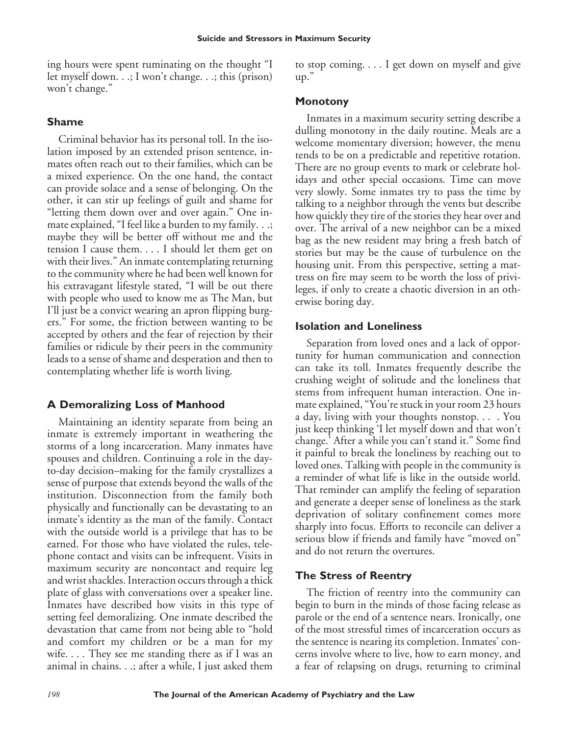ing hours were spent ruminating on the thought "I let myself down. . .; I won't change. . .; this (prison) won't change."

## **Shame**

Criminal behavior has its personal toll. In the isolation imposed by an extended prison sentence, inmates often reach out to their families, which can be a mixed experience. On the one hand, the contact can provide solace and a sense of belonging. On the other, it can stir up feelings of guilt and shame for "letting them down over and over again." One inmate explained, "I feel like a burden to my family. . .; maybe they will be better off without me and the tension I cause them. . . . I should let them get on with their lives." An inmate contemplating returning to the community where he had been well known for his extravagant lifestyle stated, "I will be out there with people who used to know me as The Man, but I'll just be a convict wearing an apron flipping burgers." For some, the friction between wanting to be accepted by others and the fear of rejection by their families or ridicule by their peers in the community leads to a sense of shame and desperation and then to contemplating whether life is worth living.

## **A Demoralizing Loss of Manhood**

Maintaining an identity separate from being an inmate is extremely important in weathering the storms of a long incarceration. Many inmates have spouses and children. Continuing a role in the dayto-day decision–making for the family crystallizes a sense of purpose that extends beyond the walls of the institution. Disconnection from the family both physically and functionally can be devastating to an inmate's identity as the man of the family. Contact with the outside world is a privilege that has to be earned. For those who have violated the rules, telephone contact and visits can be infrequent. Visits in maximum security are noncontact and require leg and wrist shackles. Interaction occurs through a thick plate of glass with conversations over a speaker line. Inmates have described how visits in this type of setting feel demoralizing. One inmate described the devastation that came from not being able to "hold and comfort my children or be a man for my wife.... They see me standing there as if I was an animal in chains. . .; after a while, I just asked them

to stop coming. . . . I get down on myself and give  $\mathsf{u}\mathsf{v}$ ."

## **Monotony**

Inmates in a maximum security setting describe a dulling monotony in the daily routine. Meals are a welcome momentary diversion; however, the menu tends to be on a predictable and repetitive rotation. There are no group events to mark or celebrate holidays and other special occasions. Time can move very slowly. Some inmates try to pass the time by talking to a neighbor through the vents but describe how quickly they tire of the stories they hear over and over. The arrival of a new neighbor can be a mixed bag as the new resident may bring a fresh batch of stories but may be the cause of turbulence on the housing unit. From this perspective, setting a mattress on fire may seem to be worth the loss of privileges, if only to create a chaotic diversion in an otherwise boring day.

## **Isolation and Loneliness**

Separation from loved ones and a lack of opportunity for human communication and connection can take its toll. Inmates frequently describe the crushing weight of solitude and the loneliness that stems from infrequent human interaction. One inmate explained, "You're stuck in your room 23 hours a day, living with your thoughts nonstop. . . . You just keep thinking 'I let myself down and that won't change.' After a while you can't stand it." Some find it painful to break the loneliness by reaching out to loved ones. Talking with people in the community is a reminder of what life is like in the outside world. That reminder can amplify the feeling of separation and generate a deeper sense of loneliness as the stark deprivation of solitary confinement comes more sharply into focus. Efforts to reconcile can deliver a serious blow if friends and family have "moved on" and do not return the overtures.

## **The Stress of Reentry**

The friction of reentry into the community can begin to burn in the minds of those facing release as parole or the end of a sentence nears. Ironically, one of the most stressful times of incarceration occurs as the sentence is nearing its completion. Inmates' concerns involve where to live, how to earn money, and a fear of relapsing on drugs, returning to criminal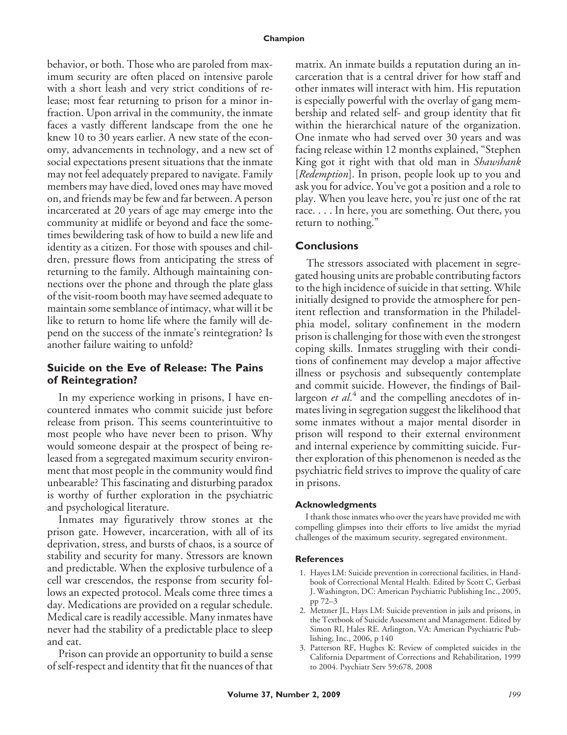behavior, or both. Those who are paroled from maximum security are often placed on intensive parole with a short leash and very strict conditions of release; most fear returning to prison for a minor infraction. Upon arrival in the community, the inmate faces a vastly different landscape from the one he knew 10 to 30 years earlier. A new state of the economy, advancements in technology, and a new set of social expectations present situations that the inmate may not feel adequately prepared to navigate. Family members may have died, loved ones may have moved on, and friends may be few and far between. A person incarcerated at 20 years of age may emerge into the community at midlife or beyond and face the sometimes bewildering task of how to build a new life and identity as a citizen. For those with spouses and children, pressure flows from anticipating the stress of returning to the family. Although maintaining connections over the phone and through the plate glass of the visit-room booth may have seemed adequate to maintain some semblance of intimacy, what will it be like to return to home life where the family will depend on the success of the inmate's reintegration? Is another failure waiting to unfold?

## **Suicide on the Eve of Release: The Pains of Reintegration?**

In my experience working in prisons, I have encountered inmates who commit suicide just before release from prison. This seems counterintuitive to most people who have never been to prison. Why would someone despair at the prospect of being released from a segregated maximum security environment that most people in the community would find unbearable? This fascinating and disturbing paradox is worthy of further exploration in the psychiatric and psychological literature.

Inmates may figuratively throw stones at the prison gate. However, incarceration, with all of its deprivation, stress, and bursts of chaos, is a source of stability and security for many. Stressors are known and predictable. When the explosive turbulence of a cell war crescendos, the response from security follows an expected protocol. Meals come three times a day. Medications are provided on a regular schedule. Medical care is readily accessible. Many inmates have never had the stability of a predictable place to sleep and eat.

Prison can provide an opportunity to build a sense of self-respect and identity that fit the nuances of that matrix. An inmate builds a reputation during an incarceration that is a central driver for how staff and other inmates will interact with him. His reputation is especially powerful with the overlay of gang membership and related self- and group identity that fit within the hierarchical nature of the organization. One inmate who had served over 30 years and was facing release within 12 months explained, "Stephen King got it right with that old man in *Shawshank* [*Redemption*]. In prison, people look up to you and ask you for advice. You've got a position and a role to play. When you leave here, you're just one of the rat race. . . . In here, you are something. Out there, you return to nothing."

## **Conclusions**

The stressors associated with placement in segregated housing units are probable contributing factors to the high incidence of suicide in that setting. While initially designed to provide the atmosphere for penitent reflection and transformation in the Philadelphia model, solitary confinement in the modern prison is challenging for those with even the strongest coping skills. Inmates struggling with their conditions of confinement may develop a major affective illness or psychosis and subsequently contemplate and commit suicide. However, the findings of Baillargeon *et al*.<sup>4</sup> and the compelling anecdotes of inmates living in segregation suggest the likelihood that some inmates without a major mental disorder in prison will respond to their external environment and internal experience by committing suicide. Further exploration of this phenomenon is needed as the psychiatric field strives to improve the quality of care in prisons.

### **Acknowledgments**

I thank those inmates who over the years have provided me with compelling glimpses into their efforts to live amidst the myriad challenges of the maximum security, segregated environment.

### **References**

- 1. Hayes LM: Suicide prevention in correctional facilities, in Handbook of Correctional Mental Health. Edited by Scott C, Gerbasi J. Washington, DC: American Psychiatric Publishing Inc., 2005, pp 72–3
- 2. Metzner JL, Hays LM: Suicide prevention in jails and prisons, in the Textbook of Suicide Assessment and Management. Edited by Simon RI, Hales RE. Arlington, VA: American Psychiatric Publishing, Inc., 2006, p 140
- 3. Patterson RF, Hughes K: Review of completed suicides in the California Department of Corrections and Rehabilitation, 1999 to 2004. Psychiatr Serv 59:678, 2008